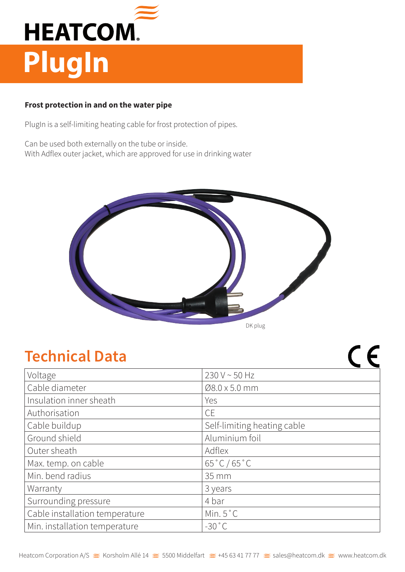

## **Frost protection in and on the water pipe**

PlugIn is a self-limiting heating cable for frost protection of pipes.

Can be used both externally on the tube or inside. With Adflex outer jacket, which are approved for use in drinking water



## **Technical Data**

| Voltage                        | 230 V ~ 50 Hz               |
|--------------------------------|-----------------------------|
| Cable diameter                 | Ø8.0 x 5.0 mm               |
| Insulation inner sheath        | Yes                         |
| Authorisation                  | <b>CE</b>                   |
| Cable buildup                  | Self-limiting heating cable |
| Ground shield                  | Aluminium foil              |
| Outer sheath                   | Adflex                      |
| Max. temp. on cable            | $65\degree C / 65\degree C$ |
| Min. bend radius               | 35 mm                       |
| Warranty                       | 3 years                     |
| Surrounding pressure           | 4 bar                       |
| Cable installation temperature | Min. $5^{\circ}$ C          |
| Min. installation temperature  | $-30$ °C                    |

 $C \in$